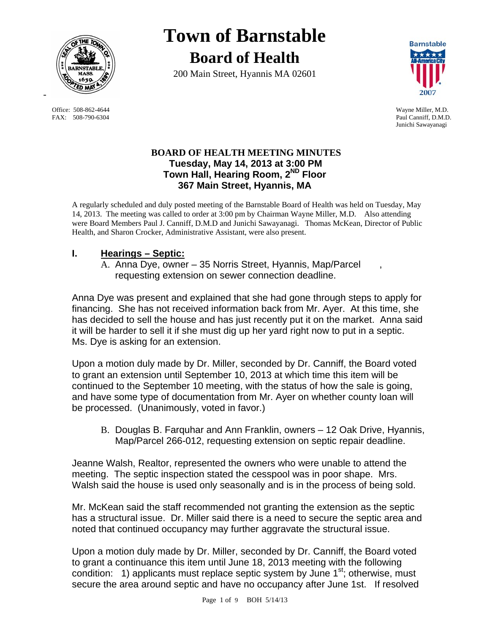

FAX: 508-790-6304 Paul Canniff, D.M.D.

# **Town of Barnstable Board of Health**

200 Main Street, Hyannis MA 02601



 Office: 508-862-4644 Wayne Miller, M.D. Junichi Sawayanagi

#### **BOARD OF HEALTH MEETING MINUTES Tuesday, May 14, 2013 at 3:00 PM Town Hall, Hearing Room, 2ND Floor 367 Main Street, Hyannis, MA**

A regularly scheduled and duly posted meeting of the Barnstable Board of Health was held on Tuesday, May 14, 2013. The meeting was called to order at 3:00 pm by Chairman Wayne Miller, M.D. Also attending were Board Members Paul J. Canniff, D.M.D and Junichi Sawayanagi. Thomas McKean, Director of Public Health, and Sharon Crocker, Administrative Assistant, were also present.

# **I. Hearings – Septic:**

A. Anna Dye, owner – 35 Norris Street, Hyannis, Map/Parcel , requesting extension on sewer connection deadline.

Anna Dye was present and explained that she had gone through steps to apply for financing. She has not received information back from Mr. Ayer. At this time, she has decided to sell the house and has just recently put it on the market. Anna said it will be harder to sell it if she must dig up her yard right now to put in a septic. Ms. Dye is asking for an extension.

Upon a motion duly made by Dr. Miller, seconded by Dr. Canniff, the Board voted to grant an extension until September 10, 2013 at which time this item will be continued to the September 10 meeting, with the status of how the sale is going, and have some type of documentation from Mr. Ayer on whether county loan will be processed. (Unanimously, voted in favor.)

B. Douglas B. Farquhar and Ann Franklin, owners – 12 Oak Drive, Hyannis, Map/Parcel 266-012, requesting extension on septic repair deadline.

Jeanne Walsh, Realtor, represented the owners who were unable to attend the meeting. The septic inspection stated the cesspool was in poor shape. Mrs. Walsh said the house is used only seasonally and is in the process of being sold.

Mr. McKean said the staff recommended not granting the extension as the septic has a structural issue. Dr. Miller said there is a need to secure the septic area and noted that continued occupancy may further aggravate the structural issue.

Upon a motion duly made by Dr. Miller, seconded by Dr. Canniff, the Board voted to grant a continuance this item until June 18, 2013 meeting with the following condition: 1) applicants must replace septic system by June  $1<sup>st</sup>$ ; otherwise, must secure the area around septic and have no occupancy after June 1st. If resolved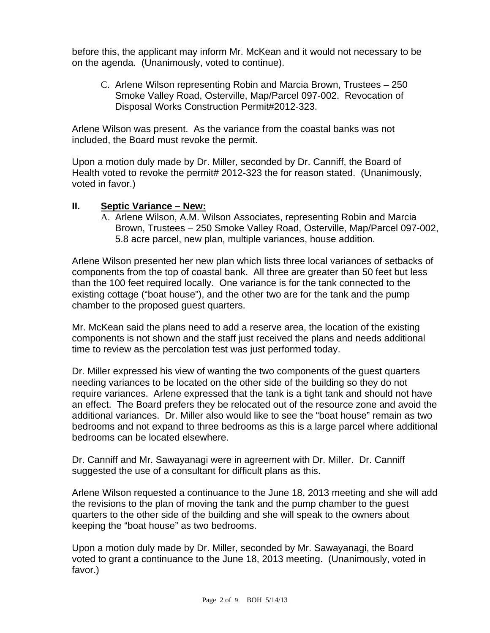before this, the applicant may inform Mr. McKean and it would not necessary to be on the agenda. (Unanimously, voted to continue).

C. Arlene Wilson representing Robin and Marcia Brown, Trustees – 250 Smoke Valley Road, Osterville, Map/Parcel 097-002. Revocation of Disposal Works Construction Permit#2012-323.

Arlene Wilson was present. As the variance from the coastal banks was not included, the Board must revoke the permit.

Upon a motion duly made by Dr. Miller, seconded by Dr. Canniff, the Board of Health voted to revoke the permit# 2012-323 the for reason stated. (Unanimously, voted in favor.)

#### **II. Septic Variance – New:**

A. Arlene Wilson, A.M. Wilson Associates, representing Robin and Marcia Brown, Trustees – 250 Smoke Valley Road, Osterville, Map/Parcel 097-002, 5.8 acre parcel, new plan, multiple variances, house addition.

Arlene Wilson presented her new plan which lists three local variances of setbacks of components from the top of coastal bank. All three are greater than 50 feet but less than the 100 feet required locally. One variance is for the tank connected to the existing cottage ("boat house"), and the other two are for the tank and the pump chamber to the proposed guest quarters.

Mr. McKean said the plans need to add a reserve area, the location of the existing components is not shown and the staff just received the plans and needs additional time to review as the percolation test was just performed today.

Dr. Miller expressed his view of wanting the two components of the guest quarters needing variances to be located on the other side of the building so they do not require variances. Arlene expressed that the tank is a tight tank and should not have an effect. The Board prefers they be relocated out of the resource zone and avoid the additional variances. Dr. Miller also would like to see the "boat house" remain as two bedrooms and not expand to three bedrooms as this is a large parcel where additional bedrooms can be located elsewhere.

Dr. Canniff and Mr. Sawayanagi were in agreement with Dr. Miller. Dr. Canniff suggested the use of a consultant for difficult plans as this.

Arlene Wilson requested a continuance to the June 18, 2013 meeting and she will add the revisions to the plan of moving the tank and the pump chamber to the guest quarters to the other side of the building and she will speak to the owners about keeping the "boat house" as two bedrooms.

Upon a motion duly made by Dr. Miller, seconded by Mr. Sawayanagi, the Board voted to grant a continuance to the June 18, 2013 meeting. (Unanimously, voted in favor.)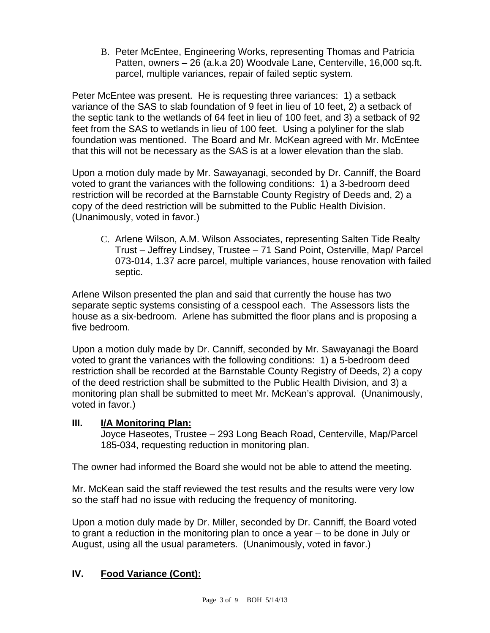B. Peter McEntee, Engineering Works, representing Thomas and Patricia Patten, owners – 26 (a.k.a 20) Woodvale Lane, Centerville, 16,000 sq.ft. parcel, multiple variances, repair of failed septic system.

Peter McEntee was present. He is requesting three variances: 1) a setback variance of the SAS to slab foundation of 9 feet in lieu of 10 feet, 2) a setback of the septic tank to the wetlands of 64 feet in lieu of 100 feet, and 3) a setback of 92 feet from the SAS to wetlands in lieu of 100 feet. Using a polyliner for the slab foundation was mentioned. The Board and Mr. McKean agreed with Mr. McEntee that this will not be necessary as the SAS is at a lower elevation than the slab.

Upon a motion duly made by Mr. Sawayanagi, seconded by Dr. Canniff, the Board voted to grant the variances with the following conditions: 1) a 3-bedroom deed restriction will be recorded at the Barnstable County Registry of Deeds and, 2) a copy of the deed restriction will be submitted to the Public Health Division. (Unanimously, voted in favor.)

C. Arlene Wilson, A.M. Wilson Associates, representing Salten Tide Realty Trust – Jeffrey Lindsey, Trustee – 71 Sand Point, Osterville, Map/ Parcel 073-014, 1.37 acre parcel, multiple variances, house renovation with failed septic.

Arlene Wilson presented the plan and said that currently the house has two separate septic systems consisting of a cesspool each. The Assessors lists the house as a six-bedroom. Arlene has submitted the floor plans and is proposing a five bedroom.

Upon a motion duly made by Dr. Canniff, seconded by Mr. Sawayanagi the Board voted to grant the variances with the following conditions: 1) a 5-bedroom deed restriction shall be recorded at the Barnstable County Registry of Deeds, 2) a copy of the deed restriction shall be submitted to the Public Health Division, and 3) a monitoring plan shall be submitted to meet Mr. McKean's approval. (Unanimously, voted in favor.)

## **III. I/A Monitoring Plan:**

Joyce Haseotes, Trustee – 293 Long Beach Road, Centerville, Map/Parcel 185-034, requesting reduction in monitoring plan.

The owner had informed the Board she would not be able to attend the meeting.

Mr. McKean said the staff reviewed the test results and the results were very low so the staff had no issue with reducing the frequency of monitoring.

Upon a motion duly made by Dr. Miller, seconded by Dr. Canniff, the Board voted to grant a reduction in the monitoring plan to once a year – to be done in July or August, using all the usual parameters. (Unanimously, voted in favor.)

## **IV. Food Variance (Cont):**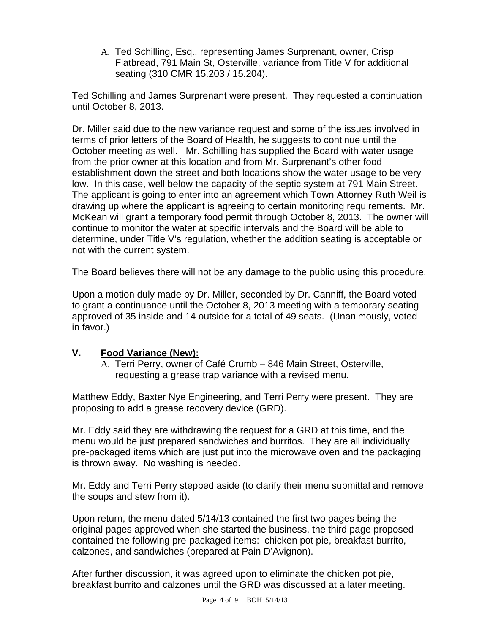A. Ted Schilling, Esq., representing James Surprenant, owner, Crisp Flatbread, 791 Main St, Osterville, variance from Title V for additional seating (310 CMR 15.203 / 15.204).

Ted Schilling and James Surprenant were present. They requested a continuation until October 8, 2013.

Dr. Miller said due to the new variance request and some of the issues involved in terms of prior letters of the Board of Health, he suggests to continue until the October meeting as well. Mr. Schilling has supplied the Board with water usage from the prior owner at this location and from Mr. Surprenant's other food establishment down the street and both locations show the water usage to be very low. In this case, well below the capacity of the septic system at 791 Main Street. The applicant is going to enter into an agreement which Town Attorney Ruth Weil is drawing up where the applicant is agreeing to certain monitoring requirements. Mr. McKean will grant a temporary food permit through October 8, 2013. The owner will continue to monitor the water at specific intervals and the Board will be able to determine, under Title V's regulation, whether the addition seating is acceptable or not with the current system.

The Board believes there will not be any damage to the public using this procedure.

Upon a motion duly made by Dr. Miller, seconded by Dr. Canniff, the Board voted to grant a continuance until the October 8, 2013 meeting with a temporary seating approved of 35 inside and 14 outside for a total of 49 seats. (Unanimously, voted in favor.)

## **V. Food Variance (New):**

A. Terri Perry, owner of Café Crumb – 846 Main Street, Osterville, requesting a grease trap variance with a revised menu.

Matthew Eddy, Baxter Nye Engineering, and Terri Perry were present. They are proposing to add a grease recovery device (GRD).

Mr. Eddy said they are withdrawing the request for a GRD at this time, and the menu would be just prepared sandwiches and burritos. They are all individually pre-packaged items which are just put into the microwave oven and the packaging is thrown away. No washing is needed.

Mr. Eddy and Terri Perry stepped aside (to clarify their menu submittal and remove the soups and stew from it).

Upon return, the menu dated 5/14/13 contained the first two pages being the original pages approved when she started the business, the third page proposed contained the following pre-packaged items: chicken pot pie, breakfast burrito, calzones, and sandwiches (prepared at Pain D'Avignon).

After further discussion, it was agreed upon to eliminate the chicken pot pie, breakfast burrito and calzones until the GRD was discussed at a later meeting.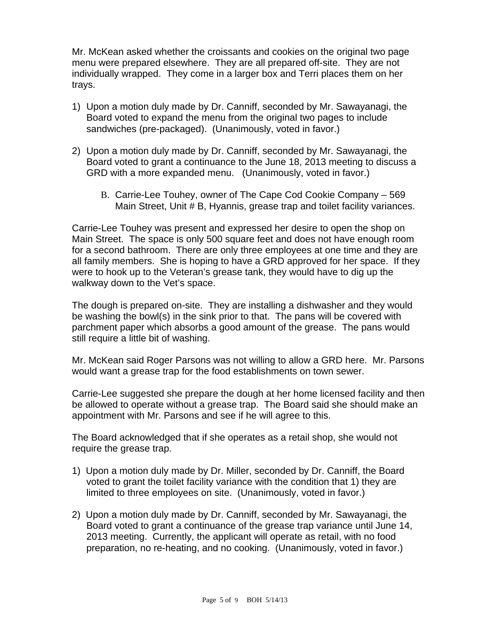Mr. McKean asked whether the croissants and cookies on the original two page menu were prepared elsewhere. They are all prepared off-site. They are not individually wrapped. They come in a larger box and Terri places them on her trays.

- 1) Upon a motion duly made by Dr. Canniff, seconded by Mr. Sawayanagi, the Board voted to expand the menu from the original two pages to include sandwiches (pre-packaged). (Unanimously, voted in favor.)
- 2) Upon a motion duly made by Dr. Canniff, seconded by Mr. Sawayanagi, the Board voted to grant a continuance to the June 18, 2013 meeting to discuss a GRD with a more expanded menu. (Unanimously, voted in favor.)
	- B. Carrie-Lee Touhey, owner of The Cape Cod Cookie Company 569 Main Street, Unit # B, Hyannis, grease trap and toilet facility variances.

Carrie-Lee Touhey was present and expressed her desire to open the shop on Main Street. The space is only 500 square feet and does not have enough room for a second bathroom. There are only three employees at one time and they are all family members. She is hoping to have a GRD approved for her space. If they were to hook up to the Veteran's grease tank, they would have to dig up the walkway down to the Vet's space.

The dough is prepared on-site. They are installing a dishwasher and they would be washing the bowl(s) in the sink prior to that. The pans will be covered with parchment paper which absorbs a good amount of the grease. The pans would still require a little bit of washing.

Mr. McKean said Roger Parsons was not willing to allow a GRD here. Mr. Parsons would want a grease trap for the food establishments on town sewer.

Carrie-Lee suggested she prepare the dough at her home licensed facility and then be allowed to operate without a grease trap. The Board said she should make an appointment with Mr. Parsons and see if he will agree to this.

The Board acknowledged that if she operates as a retail shop, she would not require the grease trap.

- 1) Upon a motion duly made by Dr. Miller, seconded by Dr. Canniff, the Board voted to grant the toilet facility variance with the condition that 1) they are limited to three employees on site. (Unanimously, voted in favor.)
- 2) Upon a motion duly made by Dr. Canniff, seconded by Mr. Sawayanagi, the Board voted to grant a continuance of the grease trap variance until June 14, 2013 meeting. Currently, the applicant will operate as retail, with no food preparation, no re-heating, and no cooking. (Unanimously, voted in favor.)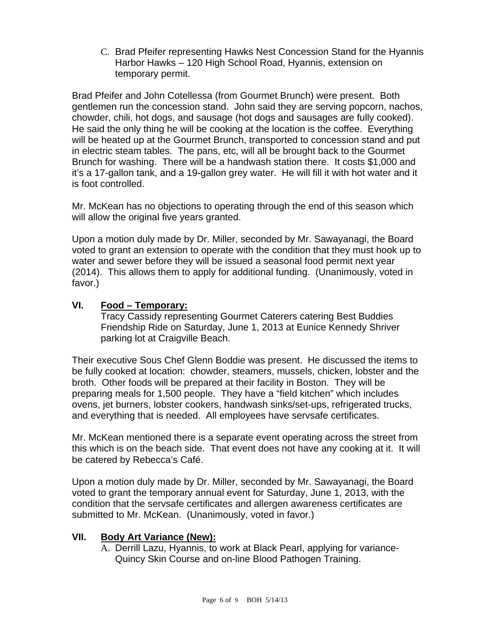C. Brad Pfeifer representing Hawks Nest Concession Stand for the Hyannis Harbor Hawks – 120 High School Road, Hyannis, extension on temporary permit.

Brad Pfeifer and John Cotellessa (from Gourmet Brunch) were present. Both gentlemen run the concession stand. John said they are serving popcorn, nachos, chowder, chili, hot dogs, and sausage (hot dogs and sausages are fully cooked). He said the only thing he will be cooking at the location is the coffee. Everything will be heated up at the Gourmet Brunch, transported to concession stand and put in electric steam tables. The pans, etc, will all be brought back to the Gourmet Brunch for washing. There will be a handwash station there. It costs \$1,000 and it's a 17-gallon tank, and a 19-gallon grey water. He will fill it with hot water and it is foot controlled.

Mr. McKean has no objections to operating through the end of this season which will allow the original five years granted.

Upon a motion duly made by Dr. Miller, seconded by Mr. Sawayanagi, the Board voted to grant an extension to operate with the condition that they must hook up to water and sewer before they will be issued a seasonal food permit next year (2014). This allows them to apply for additional funding. (Unanimously, voted in favor.)

#### **VI. Food – Temporary:**

Tracy Cassidy representing Gourmet Caterers catering Best Buddies Friendship Ride on Saturday, June 1, 2013 at Eunice Kennedy Shriver parking lot at Craigville Beach.

Their executive Sous Chef Glenn Boddie was present. He discussed the items to be fully cooked at location: chowder, steamers, mussels, chicken, lobster and the broth. Other foods will be prepared at their facility in Boston. They will be preparing meals for 1,500 people. They have a "field kitchen" which includes ovens, jet burners, lobster cookers, handwash sinks/set-ups, refrigerated trucks, and everything that is needed. All employees have servsafe certificates.

Mr. McKean mentioned there is a separate event operating across the street from this which is on the beach side. That event does not have any cooking at it. It will be catered by Rebecca's Café.

Upon a motion duly made by Dr. Miller, seconded by Mr. Sawayanagi, the Board voted to grant the temporary annual event for Saturday, June 1, 2013, with the condition that the servsafe certificates and allergen awareness certificates are submitted to Mr. McKean. (Unanimously, voted in favor.)

## **VII. Body Art Variance (New):**

A. Derrill Lazu, Hyannis, to work at Black Pearl, applying for variance-Quincy Skin Course and on-line Blood Pathogen Training.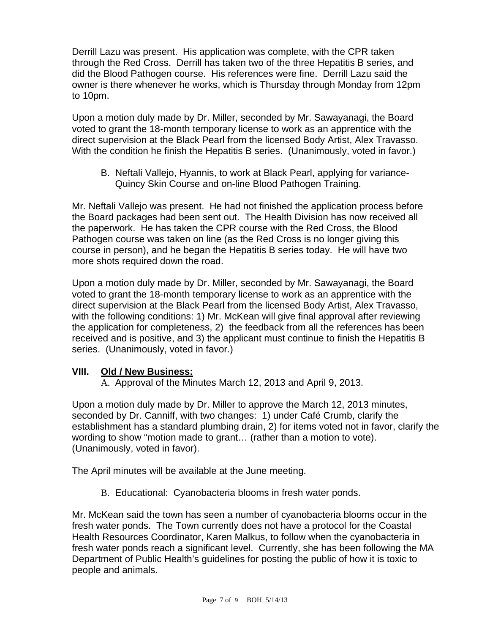Derrill Lazu was present. His application was complete, with the CPR taken through the Red Cross. Derrill has taken two of the three Hepatitis B series, and did the Blood Pathogen course. His references were fine. Derrill Lazu said the owner is there whenever he works, which is Thursday through Monday from 12pm to 10pm.

Upon a motion duly made by Dr. Miller, seconded by Mr. Sawayanagi, the Board voted to grant the 18-month temporary license to work as an apprentice with the direct supervision at the Black Pearl from the licensed Body Artist, Alex Travasso. With the condition he finish the Hepatitis B series. (Unanimously, voted in favor.)

B. Neftali Vallejo, Hyannis, to work at Black Pearl, applying for variance-Quincy Skin Course and on-line Blood Pathogen Training.

Mr. Neftali Vallejo was present. He had not finished the application process before the Board packages had been sent out. The Health Division has now received all the paperwork. He has taken the CPR course with the Red Cross, the Blood Pathogen course was taken on line (as the Red Cross is no longer giving this course in person), and he began the Hepatitis B series today. He will have two more shots required down the road.

Upon a motion duly made by Dr. Miller, seconded by Mr. Sawayanagi, the Board voted to grant the 18-month temporary license to work as an apprentice with the direct supervision at the Black Pearl from the licensed Body Artist, Alex Travasso, with the following conditions: 1) Mr. McKean will give final approval after reviewing the application for completeness, 2) the feedback from all the references has been received and is positive, and 3) the applicant must continue to finish the Hepatitis B series. (Unanimously, voted in favor.)

#### **VIII. Old / New Business:**

A. Approval of the Minutes March 12, 2013 and April 9, 2013.

Upon a motion duly made by Dr. Miller to approve the March 12, 2013 minutes, seconded by Dr. Canniff, with two changes: 1) under Café Crumb, clarify the establishment has a standard plumbing drain, 2) for items voted not in favor, clarify the wording to show "motion made to grant… (rather than a motion to vote). (Unanimously, voted in favor).

The April minutes will be available at the June meeting.

B. Educational: Cyanobacteria blooms in fresh water ponds.

Mr. McKean said the town has seen a number of cyanobacteria blooms occur in the fresh water ponds. The Town currently does not have a protocol for the Coastal Health Resources Coordinator, Karen Malkus, to follow when the cyanobacteria in fresh water ponds reach a significant level. Currently, she has been following the MA Department of Public Health's guidelines for posting the public of how it is toxic to people and animals.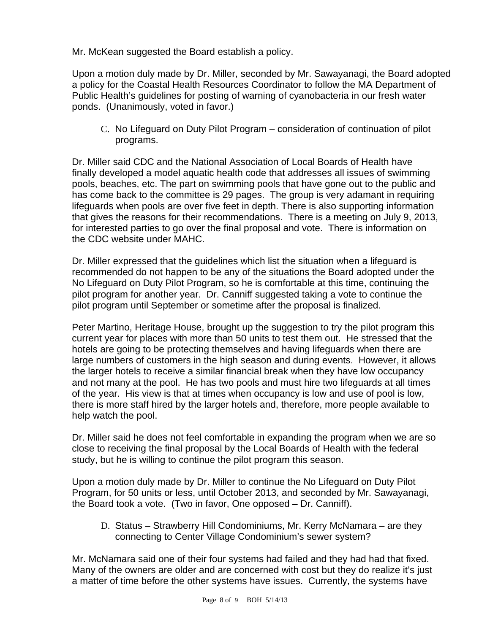Mr. McKean suggested the Board establish a policy.

Upon a motion duly made by Dr. Miller, seconded by Mr. Sawayanagi, the Board adopted a policy for the Coastal Health Resources Coordinator to follow the MA Department of Public Health's guidelines for posting of warning of cyanobacteria in our fresh water ponds. (Unanimously, voted in favor.)

C. No Lifeguard on Duty Pilot Program – consideration of continuation of pilot programs.

Dr. Miller said CDC and the National Association of Local Boards of Health have finally developed a model aquatic health code that addresses all issues of swimming pools, beaches, etc. The part on swimming pools that have gone out to the public and has come back to the committee is 29 pages. The group is very adamant in requiring lifeguards when pools are over five feet in depth. There is also supporting information that gives the reasons for their recommendations. There is a meeting on July 9, 2013, for interested parties to go over the final proposal and vote. There is information on the CDC website under MAHC.

Dr. Miller expressed that the guidelines which list the situation when a lifeguard is recommended do not happen to be any of the situations the Board adopted under the No Lifeguard on Duty Pilot Program, so he is comfortable at this time, continuing the pilot program for another year. Dr. Canniff suggested taking a vote to continue the pilot program until September or sometime after the proposal is finalized.

Peter Martino, Heritage House, brought up the suggestion to try the pilot program this current year for places with more than 50 units to test them out. He stressed that the hotels are going to be protecting themselves and having lifeguards when there are large numbers of customers in the high season and during events. However, it allows the larger hotels to receive a similar financial break when they have low occupancy and not many at the pool. He has two pools and must hire two lifeguards at all times of the year. His view is that at times when occupancy is low and use of pool is low, there is more staff hired by the larger hotels and, therefore, more people available to help watch the pool.

Dr. Miller said he does not feel comfortable in expanding the program when we are so close to receiving the final proposal by the Local Boards of Health with the federal study, but he is willing to continue the pilot program this season.

Upon a motion duly made by Dr. Miller to continue the No Lifeguard on Duty Pilot Program, for 50 units or less, until October 2013, and seconded by Mr. Sawayanagi, the Board took a vote. (Two in favor, One opposed – Dr. Canniff).

D. Status – Strawberry Hill Condominiums, Mr. Kerry McNamara – are they connecting to Center Village Condominium's sewer system?

Mr. McNamara said one of their four systems had failed and they had had that fixed. Many of the owners are older and are concerned with cost but they do realize it's just a matter of time before the other systems have issues. Currently, the systems have